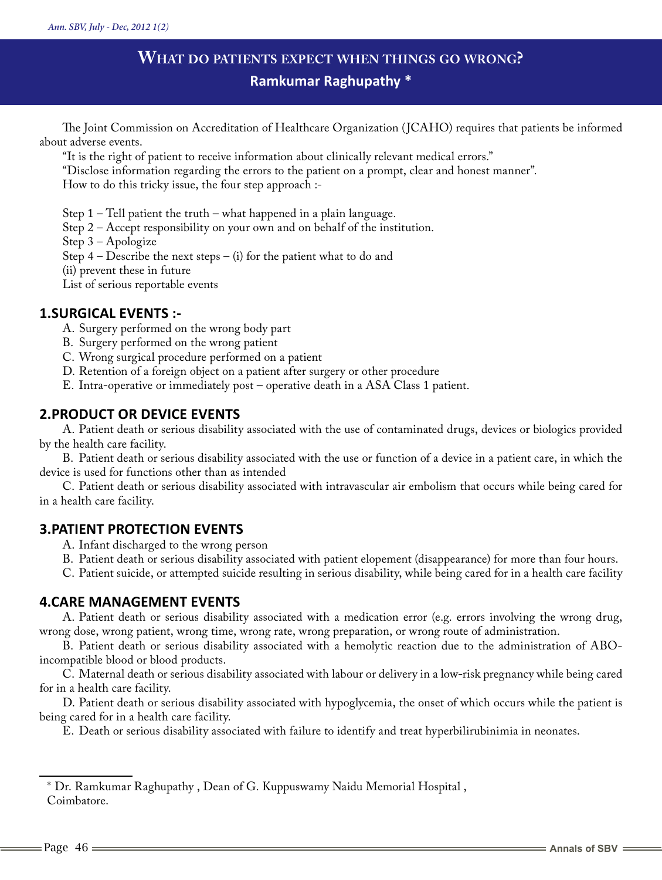# **What do patients expect when things go wrong? Ramkumar Raghupathy \***

The Joint Commission on Accreditation of Healthcare Organization (JCAHO) requires that patients be informed about adverse events.

"It is the right of patient to receive information about clinically relevant medical errors."

"Disclose information regarding the errors to the patient on a prompt, clear and honest manner".

How to do this tricky issue, the four step approach :-

Step 1 – Tell patient the truth – what happened in a plain language.

Step 2 – Accept responsibility on your own and on behalf of the institution.

Step 3 – Apologize

Step  $4$  – Describe the next steps – (i) for the patient what to do and

(ii) prevent these in future

List of serious reportable events

## **1.SURGICAL EVENTS :-**

A. Surgery performed on the wrong body part

B. Surgery performed on the wrong patient

C. Wrong surgical procedure performed on a patient

D. Retention of a foreign object on a patient after surgery or other procedure

E. Intra-operative or immediately post – operative death in a ASA Class 1 patient.

# **2.PRODUCT OR DEVICE EVENTS**

A. Patient death or serious disability associated with the use of contaminated drugs, devices or biologics provided by the health care facility.

B. Patient death or serious disability associated with the use or function of a device in a patient care, in which the device is used for functions other than as intended

C. Patient death or serious disability associated with intravascular air embolism that occurs while being cared for in a health care facility.

# **3.PATIENT PROTECTION EVENTS**

A. Infant discharged to the wrong person

B. Patient death or serious disability associated with patient elopement (disappearance) for more than four hours.

C. Patient suicide, or attempted suicide resulting in serious disability, while being cared for in a health care facility

### **4.CARE MANAGEMENT EVENTS**

A. Patient death or serious disability associated with a medication error (e.g. errors involving the wrong drug, wrong dose, wrong patient, wrong time, wrong rate, wrong preparation, or wrong route of administration.

B. Patient death or serious disability associated with a hemolytic reaction due to the administration of ABOincompatible blood or blood products.

C. Maternal death or serious disability associated with labour or delivery in a low-risk pregnancy while being cared for in a health care facility.

D. Patient death or serious disability associated with hypoglycemia, the onset of which occurs while the patient is being cared for in a health care facility.

E. Death or serious disability associated with failure to identify and treat hyperbilirubinimia in neonates.

<sup>\*</sup> Dr. Ramkumar Raghupathy , Dean of G. Kuppuswamy Naidu Memorial Hospital , Coimbatore.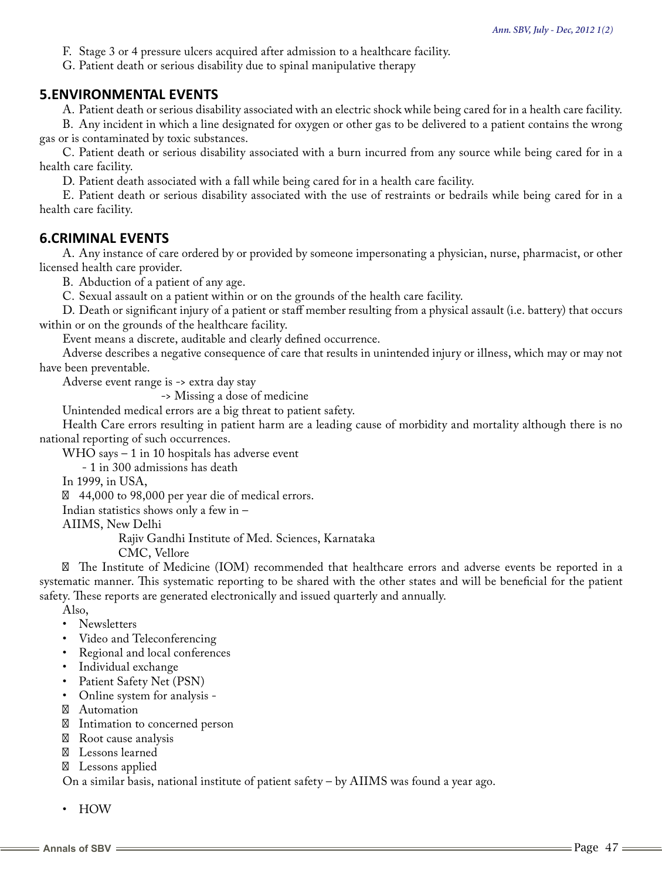F. Stage 3 or 4 pressure ulcers acquired after admission to a healthcare facility.

G. Patient death or serious disability due to spinal manipulative therapy

#### **5.ENVIRONMENTAL EVENTS**

A. Patient death or serious disability associated with an electric shock while being cared for in a health care facility.

B. Any incident in which a line designated for oxygen or other gas to be delivered to a patient contains the wrong gas or is contaminated by toxic substances.

C. Patient death or serious disability associated with a burn incurred from any source while being cared for in a health care facility.

D. Patient death associated with a fall while being cared for in a health care facility.

E. Patient death or serious disability associated with the use of restraints or bedrails while being cared for in a health care facility.

#### **6.CRIMINAL EVENTS**

A. Any instance of care ordered by or provided by someone impersonating a physician, nurse, pharmacist, or other licensed health care provider.

B. Abduction of a patient of any age.

C. Sexual assault on a patient within or on the grounds of the health care facility.

D. Death or significant injury of a patient or staff member resulting from a physical assault (i.e. battery) that occurs within or on the grounds of the healthcare facility.

Event means a discrete, auditable and clearly defined occurrence.

Adverse describes a negative consequence of care that results in unintended injury or illness, which may or may not have been preventable.

Adverse event range is -> extra day stay

-> Missing a dose of medicine

Unintended medical errors are a big threat to patient safety.

Health Care errors resulting in patient harm are a leading cause of morbidity and mortality although there is no national reporting of such occurrences.

WHO says – 1 in 10 hospitals has adverse event

- 1 in 300 admissions has death

In 1999, in USA,

44,000 to 98,000 per year die of medical errors.

Indian statistics shows only a few in –

AIIMS, New Delhi

Rajiv Gandhi Institute of Med. Sciences, Karnataka

CMC, Vellore

The Institute of Medicine (IOM) recommended that healthcare errors and adverse events be reported in a systematic manner. This systematic reporting to be shared with the other states and will be beneficial for the patient safety. These reports are generated electronically and issued quarterly and annually.

Also,

- • Newsletters
- • Video and Teleconferencing
- Regional and local conferences
- Individual exchange
- • Patient Safety Net (PSN)
- • Online system for analysis
	- Automation

Intimation to concerned person

Root cause analysis

Lessons learned

Lessons applied

On a similar basis, national institute of patient safety – by AIIMS was found a year ago.

• HOW